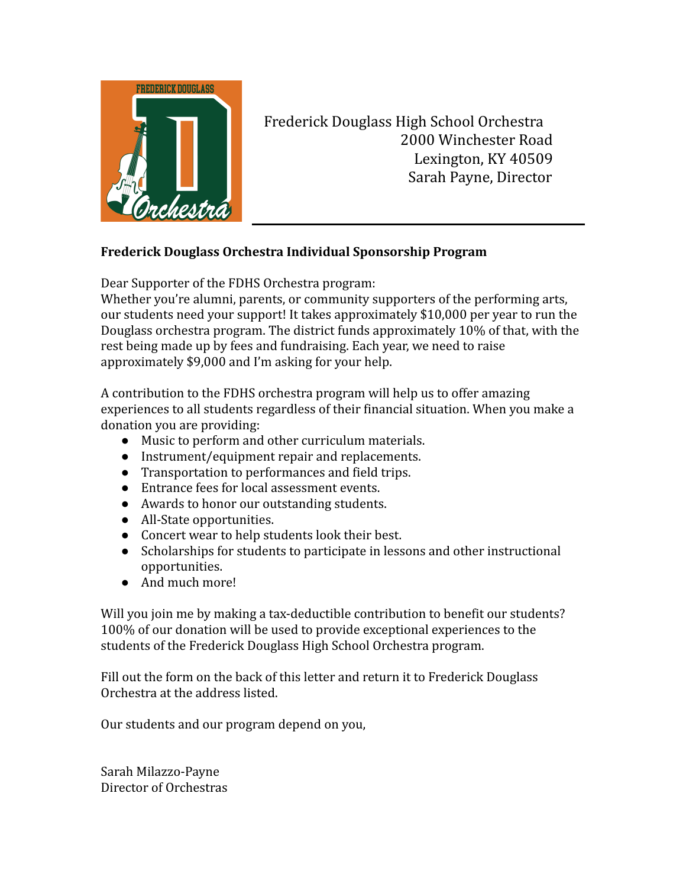

Frederick Douglass High School Orchestra 2000 Winchester Road Lexington, KY 40509 Sarah Payne, Director

## **Frederick Douglass Orchestra Individual Sponsorship Program**

Dear Supporter of the FDHS Orchestra program:

Whether you're alumni, parents, or community supporters of the performing arts, our students need your support! It takes approximately \$10,000 per year to run the Douglass orchestra program. The district funds approximately 10% of that, with the rest being made up by fees and fundraising. Each year, we need to raise approximately \$9,000 and I'm asking for your help.

A contribution to the FDHS orchestra program will help us to offer amazing experiences to all students regardless of their financial situation. When you make a donation you are providing:

- Music to perform and other curriculum materials.
- Instrument/equipment repair and replacements.
- Transportation to performances and field trips.
- Entrance fees for local assessment events.
- Awards to honor our outstanding students.
- All-State opportunities.
- Concert wear to help students look their best.
- Scholarships for students to participate in lessons and other instructional opportunities.
- And much more!

Will you join me by making a tax-deductible contribution to benefit our students? 100% of our donation will be used to provide exceptional experiences to the students of the Frederick Douglass High School Orchestra program.

Fill out the form on the back of this letter and return it to Frederick Douglass Orchestra at the address listed.

Our students and our program depend on you,

Sarah Milazzo-Payne Director of Orchestras